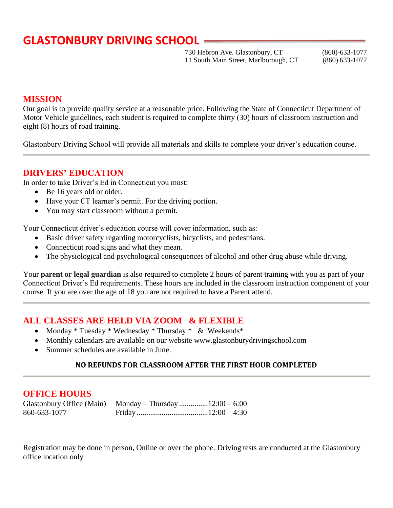730 Hebron Ave. Glastonbury, CT (860)-633-1077 11 South Main Street, Marlborough, CT (860) 633-1077

#### **MISSION**

Our goal is to provide quality service at a reasonable price. Following the State of Connecticut Department of Motor Vehicle guidelines, each student is required to complete thirty (30) hours of classroom instruction and eight (8) hours of road training.

Glastonbury Driving School will provide all materials and skills to complete your driver's education course.

### **DRIVERS' EDUCATION**

In order to take Driver's Ed in Connecticut you must:

- Be 16 years old or older.
- Have your CT learner's permit. For the driving portion.
- You may start classroom without a permit.

Your Connecticut driver's education course will cover information, such as:

- Basic driver safety regarding motorcyclists, bicyclists, and pedestrians.
- Connecticut road signs and what they mean.
- The physiological and psychological consequences of alcohol and other drug abuse while driving.

Your **parent or legal guardian** is also required to complete 2 hours of parent training with you as part of your Connecticut Driver's Ed requirements. These hours are included in the classroom instruction component of your course. If you are over the age of 18 you are not required to have a Parent attend.

### **ALL CLASSES ARE HELD VIA ZOOM & FLEXIBLE**

- Monday \* Tuesday \* Wednesday \* Thursday \* & Weekends \*
- Monthly calendars are available on our website www.glastonburydrivingschool.com
- Summer schedules are available in June.

#### **NO REFUNDS FOR CLASSROOM AFTER THE FIRST HOUR COMPLETED**

#### **OFFICE HOURS**

| Glastonbury Office (Main) Monday – Thursday 12:00 – 6:00 |  |
|----------------------------------------------------------|--|
| 860-633-1077                                             |  |

Registration may be done in person, Online or over the phone. Driving tests are conducted at the Glastonbury office location only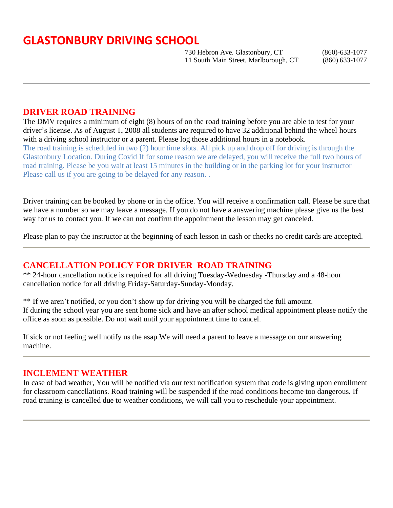730 Hebron Ave. Glastonbury, CT (860)-633-1077 11 South Main Street, Marlborough, CT (860) 633-1077

### **DRIVER ROAD TRAINING**

The DMV requires a minimum of eight (8) hours of on the road training before you are able to test for your driver's license. As of August 1, 2008 all students are required to have 32 additional behind the wheel hours with a driving school instructor or a parent. Please log those additional hours in a notebook. The road training is scheduled in two (2) hour time slots. All pick up and drop off for driving is through the Glastonbury Location. During Covid If for some reason we are delayed, you will receive the full two hours of road training. Please be you wait at least 15 minutes in the building or in the parking lot for your instructor Please call us if you are going to be delayed for any reason..

Driver training can be booked by phone or in the office. You will receive a confirmation call. Please be sure that we have a number so we may leave a message. If you do not have a answering machine please give us the best way for us to contact you. If we can not confirm the appointment the lesson may get canceled.

Please plan to pay the instructor at the beginning of each lesson in cash or checks no credit cards are accepted.

### **CANCELLATION POLICY FOR DRIVER ROAD TRAINING**

\*\* 24-hour cancellation notice is required for all driving Tuesday-Wednesday -Thursday and a 48-hour cancellation notice for all driving Friday-Saturday-Sunday-Monday.

\*\* If we aren't notified, or you don't show up for driving you will be charged the full amount. If during the school year you are sent home sick and have an after school medical appointment please notify the office as soon as possible. Do not wait until your appointment time to cancel.

If sick or not feeling well notify us the asap We will need a parent to leave a message on our answering machine.

#### **INCLEMENT WEATHER**

In case of bad weather, You will be notified via our text notification system that code is giving upon enrollment for classroom cancellations. Road training will be suspended if the road conditions become too dangerous. If road training is cancelled due to weather conditions, we will call you to reschedule your appointment.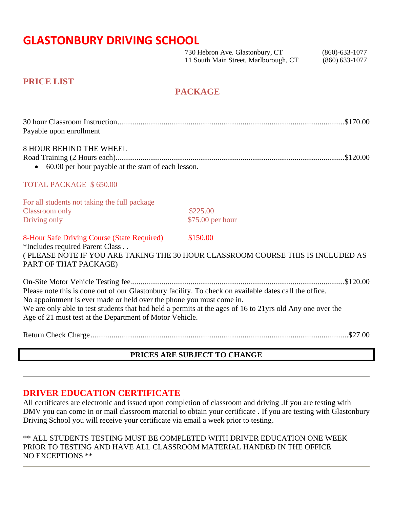730 Hebron Ave. Glastonbury, CT (860)-633-1077 11 South Main Street, Marlborough, CT (860) 633-1077

#### **PRICE LIST**

## **PACKAGE**

| Payable upon enrollment                                                                                                                                                                                                                                                                                                                                |                  |  |
|--------------------------------------------------------------------------------------------------------------------------------------------------------------------------------------------------------------------------------------------------------------------------------------------------------------------------------------------------------|------------------|--|
| <b>8 HOUR BEHIND THE WHEEL</b><br>60.00 per hour payable at the start of each lesson.                                                                                                                                                                                                                                                                  |                  |  |
| <b>TOTAL PACKAGE \$650.00</b>                                                                                                                                                                                                                                                                                                                          |                  |  |
| For all students not taking the full package                                                                                                                                                                                                                                                                                                           | \$225.00         |  |
| <b>Classroom</b> only<br>Driving only                                                                                                                                                                                                                                                                                                                  | \$75.00 per hour |  |
| 8-Hour Safe Driving Course (State Required)<br>\$150.00<br>*Includes required Parent Class<br>( PLEASE NOTE IF YOU ARE TAKING THE 30 HOUR CLASSROOM COURSE THIS IS INCLUDED AS<br>PART OF THAT PACKAGE)                                                                                                                                                |                  |  |
| Please note this is done out of our Glastonbury facility. To check on available dates call the office.<br>No appointment is ever made or held over the phone you must come in.<br>We are only able to test students that had held a permits at the ages of 16 to 21yrs old Any one over the<br>Age of 21 must test at the Department of Motor Vehicle. |                  |  |
|                                                                                                                                                                                                                                                                                                                                                        |                  |  |

### **PRICES ARE SUBJECT TO CHANGE**

### **DRIVER EDUCATION CERTIFICATE**

All certificates are electronic and issued upon completion of classroom and driving .If you are testing with DMV you can come in or mail classroom material to obtain your certificate . If you are testing with Glastonbury Driving School you will receive your certificate via email a week prior to testing.

\*\* ALL STUDENTS TESTING MUST BE COMPLETED WITH DRIVER EDUCATION ONE WEEK PRIOR TO TESTING AND HAVE ALL CLASSROOM MATERIAL HANDED IN THE OFFICE NO EXCEPTIONS \*\*